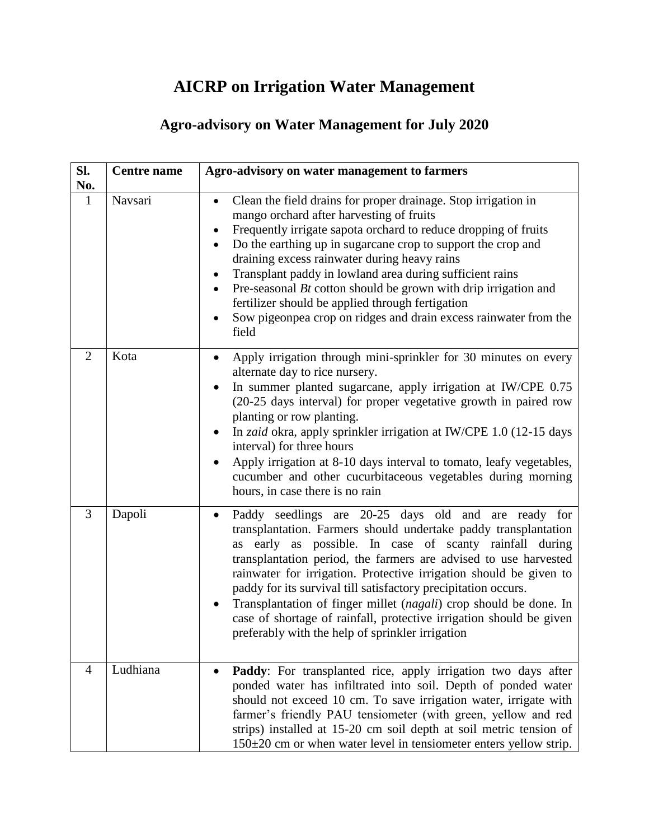## **AICRP on Irrigation Water Management**

## **Agro-advisory on Water Management for July 2020**

| Sl.<br>No.     | <b>Centre name</b> | Agro-advisory on water management to farmers                                                                                                                                                                                                                                                                                                                                                                                                                                                                                                                                                                |
|----------------|--------------------|-------------------------------------------------------------------------------------------------------------------------------------------------------------------------------------------------------------------------------------------------------------------------------------------------------------------------------------------------------------------------------------------------------------------------------------------------------------------------------------------------------------------------------------------------------------------------------------------------------------|
| $\mathbf{1}$   | Navsari            | Clean the field drains for proper drainage. Stop irrigation in<br>mango orchard after harvesting of fruits<br>Frequently irrigate sapota orchard to reduce dropping of fruits<br>Do the earthing up in sugarcane crop to support the crop and<br>draining excess rainwater during heavy rains<br>Transplant paddy in lowland area during sufficient rains<br>$\bullet$<br>Pre-seasonal Bt cotton should be grown with drip irrigation and<br>$\bullet$<br>fertilizer should be applied through fertigation<br>Sow pigeonpea crop on ridges and drain excess rainwater from the<br>field                     |
| $\overline{2}$ | Kota               | Apply irrigation through mini-sprinkler for 30 minutes on every<br>alternate day to rice nursery.<br>In summer planted sugarcane, apply irrigation at IW/CPE 0.75<br>(20-25 days interval) for proper vegetative growth in paired row<br>planting or row planting.<br>In <i>zaid</i> okra, apply sprinkler irrigation at IW/CPE 1.0 (12-15 days<br>interval) for three hours<br>Apply irrigation at 8-10 days interval to tomato, leafy vegetables,<br>cucumber and other cucurbitaceous vegetables during morning<br>hours, in case there is no rain                                                       |
| 3              | Dapoli             | Paddy seedlings are 20-25 days old and are ready for<br>$\bullet$<br>transplantation. Farmers should undertake paddy transplantation<br>as early as possible. In case of scanty rainfall during<br>transplantation period, the farmers are advised to use harvested<br>rainwater for irrigation. Protective irrigation should be given to<br>paddy for its survival till satisfactory precipitation occurs.<br>Transplantation of finger millet (nagali) crop should be done. In<br>case of shortage of rainfall, protective irrigation should be given<br>preferably with the help of sprinkler irrigation |
| $\overline{4}$ | Ludhiana           | Paddy: For transplanted rice, apply irrigation two days after<br>ponded water has infiltrated into soil. Depth of ponded water<br>should not exceed 10 cm. To save irrigation water, irrigate with<br>farmer's friendly PAU tensiometer (with green, yellow and red<br>strips) installed at 15-20 cm soil depth at soil metric tension of<br>$150\pm20$ cm or when water level in tensiometer enters yellow strip.                                                                                                                                                                                          |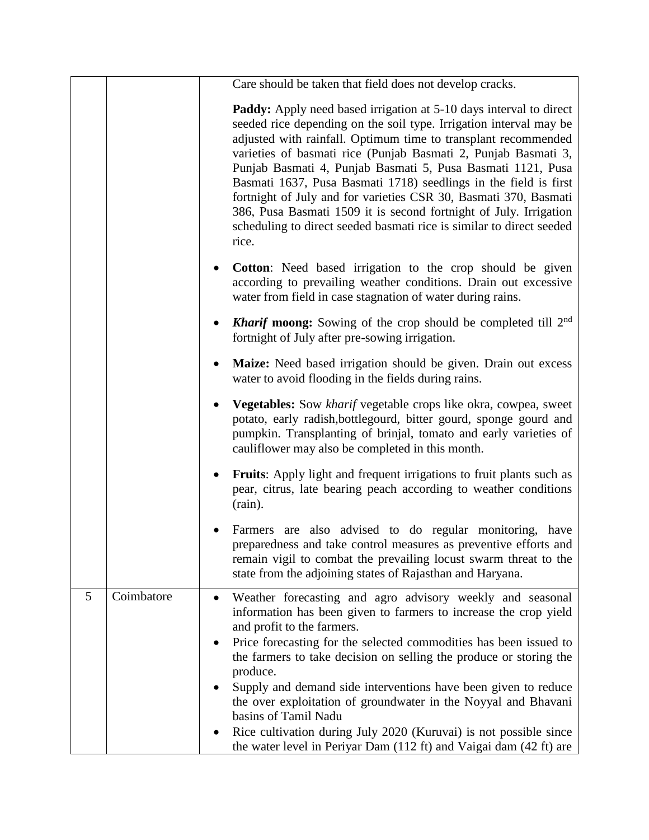|   |            | Care should be taken that field does not develop cracks.                                                                                                                                                                                                                                                                                                                                                                                                                                                                                                                                                                                         |
|---|------------|--------------------------------------------------------------------------------------------------------------------------------------------------------------------------------------------------------------------------------------------------------------------------------------------------------------------------------------------------------------------------------------------------------------------------------------------------------------------------------------------------------------------------------------------------------------------------------------------------------------------------------------------------|
|   |            | <b>Paddy:</b> Apply need based irrigation at 5-10 days interval to direct<br>seeded rice depending on the soil type. Irrigation interval may be<br>adjusted with rainfall. Optimum time to transplant recommended<br>varieties of basmati rice (Punjab Basmati 2, Punjab Basmati 3,<br>Punjab Basmati 4, Punjab Basmati 5, Pusa Basmati 1121, Pusa<br>Basmati 1637, Pusa Basmati 1718) seedlings in the field is first<br>fortnight of July and for varieties CSR 30, Basmati 370, Basmati<br>386, Pusa Basmati 1509 it is second fortnight of July. Irrigation<br>scheduling to direct seeded basmati rice is similar to direct seeded<br>rice. |
|   |            | <b>Cotton:</b> Need based irrigation to the crop should be given<br>$\bullet$<br>according to prevailing weather conditions. Drain out excessive<br>water from field in case stagnation of water during rains.                                                                                                                                                                                                                                                                                                                                                                                                                                   |
|   |            | <b>Kharif moong:</b> Sowing of the crop should be completed till $2nd$<br>fortnight of July after pre-sowing irrigation.                                                                                                                                                                                                                                                                                                                                                                                                                                                                                                                         |
|   |            | Maize: Need based irrigation should be given. Drain out excess<br>$\bullet$<br>water to avoid flooding in the fields during rains.                                                                                                                                                                                                                                                                                                                                                                                                                                                                                                               |
|   |            | <b>Vegetables:</b> Sow kharif vegetable crops like okra, cowpea, sweet<br>$\bullet$<br>potato, early radish, bottlegourd, bitter gourd, sponge gourd and<br>pumpkin. Transplanting of brinjal, tomato and early varieties of<br>cauliflower may also be completed in this month.                                                                                                                                                                                                                                                                                                                                                                 |
|   |            | Fruits: Apply light and frequent irrigations to fruit plants such as<br>$\bullet$<br>pear, citrus, late bearing peach according to weather conditions<br>(rain).                                                                                                                                                                                                                                                                                                                                                                                                                                                                                 |
|   |            | Farmers are also advised to do regular monitoring, have<br>preparedness and take control measures as preventive efforts and<br>remain vigil to combat the prevailing locust swarm threat to the<br>state from the adjoining states of Rajasthan and Haryana.                                                                                                                                                                                                                                                                                                                                                                                     |
| 5 | Coimbatore | Weather forecasting and agro advisory weekly and seasonal<br>information has been given to farmers to increase the crop yield<br>and profit to the farmers.<br>Price forecasting for the selected commodities has been issued to<br>$\bullet$                                                                                                                                                                                                                                                                                                                                                                                                    |
|   |            | the farmers to take decision on selling the produce or storing the<br>produce.<br>Supply and demand side interventions have been given to reduce                                                                                                                                                                                                                                                                                                                                                                                                                                                                                                 |
|   |            | the over exploitation of groundwater in the Noyyal and Bhavani<br>basins of Tamil Nadu                                                                                                                                                                                                                                                                                                                                                                                                                                                                                                                                                           |
|   |            | Rice cultivation during July 2020 (Kuruvai) is not possible since<br>the water level in Periyar Dam (112 ft) and Vaigai dam (42 ft) are                                                                                                                                                                                                                                                                                                                                                                                                                                                                                                          |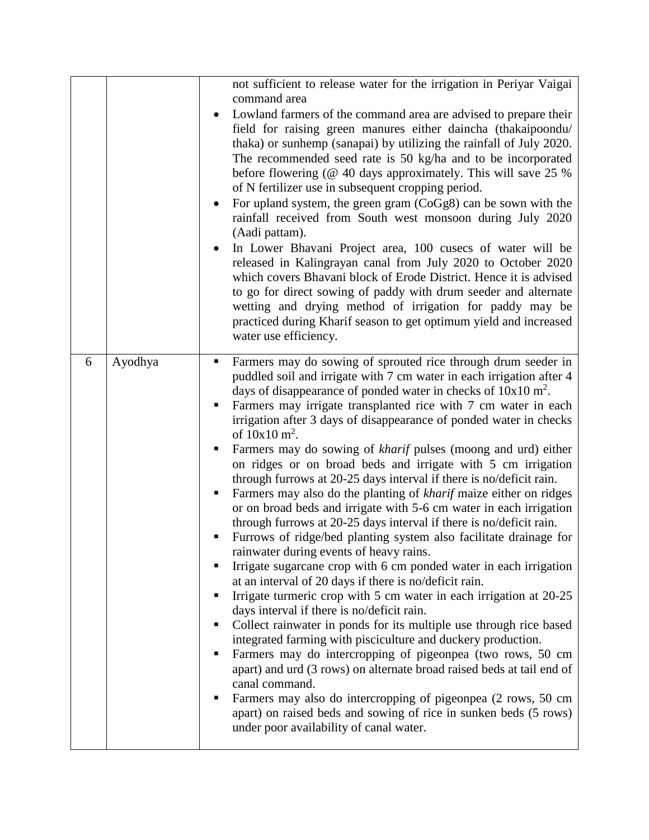|   |         | not sufficient to release water for the irrigation in Periyar Vaigai<br>command area<br>Lowland farmers of the command area are advised to prepare their<br>field for raising green manures either daincha (thakaipoondu/<br>thaka) or sunhemp (sanapai) by utilizing the rainfall of July 2020.<br>The recommended seed rate is 50 kg/ha and to be incorporated<br>before flowering ( $@$ 40 days approximately. This will save 25 %<br>of N fertilizer use in subsequent cropping period.<br>For upland system, the green gram (CoGg8) can be sown with the<br>rainfall received from South west monsoon during July 2020<br>(Aadi pattam).<br>In Lower Bhavani Project area, 100 cusecs of water will be<br>released in Kalingrayan canal from July 2020 to October 2020<br>which covers Bhavani block of Erode District. Hence it is advised<br>to go for direct sowing of paddy with drum seeder and alternate<br>wetting and drying method of irrigation for paddy may be<br>practiced during Kharif season to get optimum yield and increased<br>water use efficiency.                                                                                                                                                                                                                                                                                                                                                                                                                                                                                                                                                                                                                            |
|---|---------|----------------------------------------------------------------------------------------------------------------------------------------------------------------------------------------------------------------------------------------------------------------------------------------------------------------------------------------------------------------------------------------------------------------------------------------------------------------------------------------------------------------------------------------------------------------------------------------------------------------------------------------------------------------------------------------------------------------------------------------------------------------------------------------------------------------------------------------------------------------------------------------------------------------------------------------------------------------------------------------------------------------------------------------------------------------------------------------------------------------------------------------------------------------------------------------------------------------------------------------------------------------------------------------------------------------------------------------------------------------------------------------------------------------------------------------------------------------------------------------------------------------------------------------------------------------------------------------------------------------------------------------------------------------------------------------------------------|
| 6 | Ayodhya | Farmers may do sowing of sprouted rice through drum seeder in<br>п<br>puddled soil and irrigate with 7 cm water in each irrigation after 4<br>days of disappearance of ponded water in checks of $10x10 \text{ m}^2$ .<br>Farmers may irrigate transplanted rice with 7 cm water in each<br>irrigation after 3 days of disappearance of ponded water in checks<br>of $10x10 \text{ m}^2$ .<br>Farmers may do sowing of <i>kharif</i> pulses (moong and urd) either<br>on ridges or on broad beds and irrigate with 5 cm irrigation<br>through furrows at 20-25 days interval if there is no/deficit rain.<br>Farmers may also do the planting of <i>kharif</i> maize either on ridges<br>п<br>or on broad beds and irrigate with 5-6 cm water in each irrigation<br>through furrows at 20-25 days interval if there is no/deficit rain.<br>Furrows of ridge/bed planting system also facilitate drainage for<br>Е<br>rainwater during events of heavy rains.<br>Irrigate sugarcane crop with 6 cm ponded water in each irrigation<br>at an interval of 20 days if there is no/deficit rain.<br>Irrigate turmeric crop with 5 cm water in each irrigation at 20-25<br>days interval if there is no/deficit rain.<br>Collect rainwater in ponds for its multiple use through rice based<br>Е<br>integrated farming with pisciculture and duckery production.<br>Farmers may do intercropping of pigeonpea (two rows, 50 cm<br>Е<br>apart) and urd (3 rows) on alternate broad raised beds at tail end of<br>canal command.<br>Farmers may also do intercropping of pigeonpea (2 rows, 50 cm<br>apart) on raised beds and sowing of rice in sunken beds (5 rows)<br>under poor availability of canal water. |